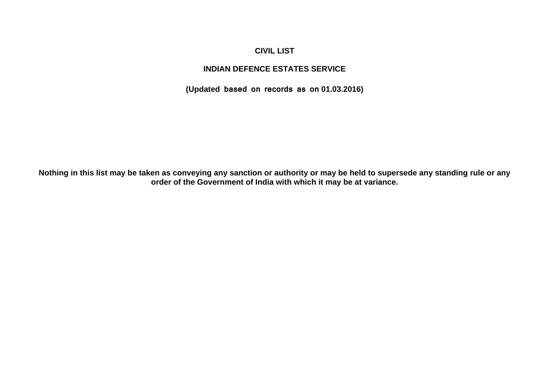### **CIVIL LIST**

### **INDIAN DEFENCE ESTATES SERVICE**

**(Updated based on records as on 01.03.2016)**

**Nothing in this list may be taken as conveying any sanction or authority or may be held to supersede any standing rule or any order of the Government of India with which it may be at variance.**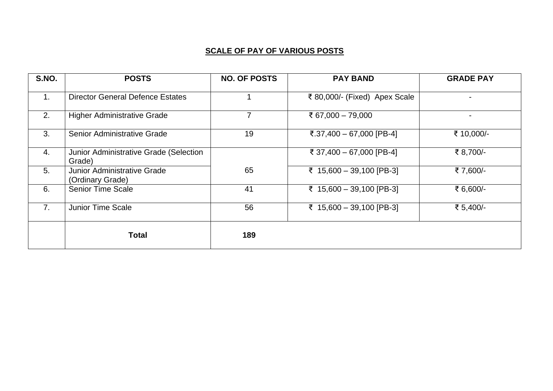# **SCALE OF PAY OF VARIOUS POSTS**

| S.NO.          | <b>POSTS</b>                                           | <b>NO. OF POSTS</b> | <b>PAY BAND</b>               | <b>GRADE PAY</b> |
|----------------|--------------------------------------------------------|---------------------|-------------------------------|------------------|
| $\mathbf{1}$ . | <b>Director General Defence Estates</b>                |                     | ₹ 80,000/- (Fixed) Apex Scale |                  |
| 2.             | <b>Higher Administrative Grade</b>                     |                     | ₹ 67,000 - 79,000             |                  |
| 3.             | Senior Administrative Grade                            | 19                  | ₹.37,400 - 67,000 [PB-4]      | ₹ 10,000/-       |
| 4.             | Junior Administrative Grade (Selection<br>Grade)       |                     | ₹ 37,400 - 67,000 [PB-4]      | ₹ 8,700/-        |
| 5.             | <b>Junior Administrative Grade</b><br>(Ordinary Grade) | 65                  | ₹ 15,600 - 39,100 [PB-3]      | ₹7,600/-         |
| 6.             | <b>Senior Time Scale</b>                               | 41                  | ₹ 15,600 - 39,100 [PB-3]      | ₹ 6,600/-        |
| 7 <sub>1</sub> | <b>Junior Time Scale</b>                               | 56                  | ₹ 15,600 - 39,100 [PB-3]      | ₹ 5,400/-        |
|                | <b>Total</b>                                           | 189                 |                               |                  |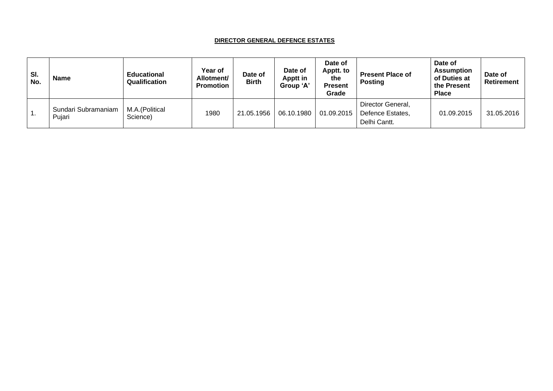#### **DIRECTOR GENERAL DEFENCE ESTATES**

| SI.<br>No.    | <b>Name</b>                   | <b>Educational</b><br>Qualification | Year of<br>Allotment/<br><b>Promotion</b> | Date of<br><b>Birth</b> | Date of<br>Apptt in<br><b>Group 'A'</b> | Date of<br>Apptt. to<br>the<br><b>Present</b><br>Grade | <b>Present Place of</b><br><b>Posting</b>             | Date of<br><b>Assumption</b><br>of Duties at<br>the Present<br><b>Place</b> | Date of<br>Retirement |
|---------------|-------------------------------|-------------------------------------|-------------------------------------------|-------------------------|-----------------------------------------|--------------------------------------------------------|-------------------------------------------------------|-----------------------------------------------------------------------------|-----------------------|
| $^{\circ}$ 1. | Sundari Subramaniam<br>Pujari | M.A.(Political<br>Science)          | 1980                                      | 21.05.1956              | 06.10.1980                              | 01.09.2015                                             | Director General,<br>Defence Estates,<br>Delhi Cantt. | 01.09.2015                                                                  | 31.05.2016            |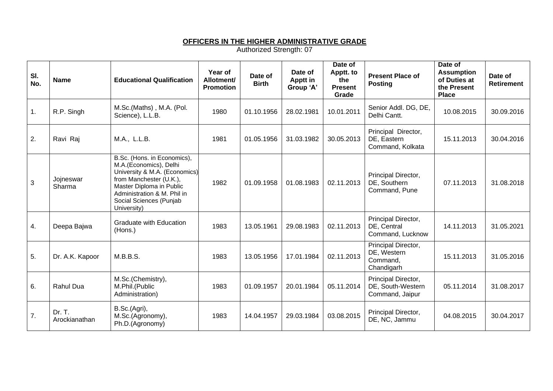### **OFFICERS IN THE HIGHER ADMINISTRATIVE GRADE**

| SI.<br>No. | <b>Name</b>             | <b>Educational Qualification</b>                                                                                                                                                                                       | Year of<br>Allotment/<br><b>Promotion</b> | Date of<br><b>Birth</b> | Date of<br><b>Apptt in</b><br>Group 'A' | Date of<br>Apptt. to<br>the<br><b>Present</b><br>Grade | <b>Present Place of</b><br><b>Posting</b>                    | Date of<br><b>Assumption</b><br>of Duties at<br>the Present<br><b>Place</b> | Date of<br><b>Retirement</b> |
|------------|-------------------------|------------------------------------------------------------------------------------------------------------------------------------------------------------------------------------------------------------------------|-------------------------------------------|-------------------------|-----------------------------------------|--------------------------------------------------------|--------------------------------------------------------------|-----------------------------------------------------------------------------|------------------------------|
| 1.         | R.P. Singh              | M.Sc.(Maths), M.A. (Pol.<br>Science), L.L.B.                                                                                                                                                                           | 1980                                      | 01.10.1956              | 28.02.1981                              | 10.01.2011                                             | Senior Addl. DG, DE,<br>Delhi Cantt.                         | 10.08.2015                                                                  | 30.09.2016                   |
| 2.         | Ravi Raj                | M.A., L.L.B.                                                                                                                                                                                                           | 1981                                      | 01.05.1956              | 31.03.1982                              | 30.05.2013                                             | Principal Director,<br>DE, Eastern<br>Command, Kolkata       | 15.11.2013                                                                  | 30.04.2016                   |
| 3          | Jojneswar<br>Sharma     | B.Sc. (Hons. in Economics),<br>M.A.(Economics), Delhi<br>University & M.A. (Economics)<br>from Manchester (U.K.),<br>Master Diploma in Public<br>Administration & M. Phil in<br>Social Sciences (Punjab<br>University) | 1982                                      | 01.09.1958              | 01.08.1983                              | 02.11.2013                                             | Principal Director,<br>DE, Southern<br>Command, Pune         | 07.11.2013                                                                  | 31.08.2018                   |
| 4.         | Deepa Bajwa             | <b>Graduate with Education</b><br>(Hons.)                                                                                                                                                                              | 1983                                      | 13.05.1961              | 29.08.1983                              | 02.11.2013                                             | Principal Director,<br>DE, Central<br>Command, Lucknow       | 14.11.2013                                                                  | 31.05.2021                   |
| 5.         | Dr. A.K. Kapoor         | M.B.B.S.                                                                                                                                                                                                               | 1983                                      | 13.05.1956              | 17.01.1984                              | 02.11.2013                                             | Principal Director,<br>DE, Western<br>Command,<br>Chandigarh | 15.11.2013                                                                  | 31.05.2016                   |
| 6.         | <b>Rahul Dua</b>        | M.Sc.(Chemistry),<br>M.Phil.(Public<br>Administration)                                                                                                                                                                 | 1983                                      | 01.09.1957              | 20.01.1984                              | 05.11.2014                                             | Principal Director,<br>DE, South-Western<br>Command, Jaipur  | 05.11.2014                                                                  | 31.08.2017                   |
| 7.         | Dr. T.<br>Arockianathan | B.Sc.(Agri),<br>M.Sc.(Agronomy),<br>Ph.D.(Agronomy)                                                                                                                                                                    | 1983                                      | 14.04.1957              | 29.03.1984                              | 03.08.2015                                             | Principal Director,<br>DE, NC, Jammu                         | 04.08.2015                                                                  | 30.04.2017                   |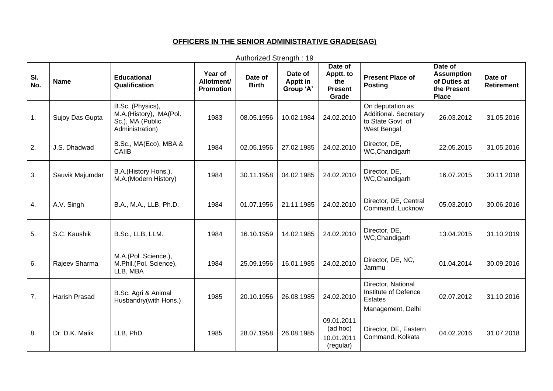# **OFFICERS IN THE SENIOR ADMINISTRATIVE GRADE(SAG)**

| SI.<br>No.       | <b>Name</b>          | <b>Educational</b><br>Qualification                                               | Year of<br>Allotment/<br><b>Promotion</b> | Date of<br><b>Birth</b> | Date of<br>Apptt in<br>Group 'A' | Date of<br>Apptt. to<br>the<br><b>Present</b><br>Grade | <b>Present Place of</b><br><b>Posting</b>                                         | Date of<br><b>Assumption</b><br>of Duties at<br>the Present<br><b>Place</b> | Date of<br><b>Retirement</b> |
|------------------|----------------------|-----------------------------------------------------------------------------------|-------------------------------------------|-------------------------|----------------------------------|--------------------------------------------------------|-----------------------------------------------------------------------------------|-----------------------------------------------------------------------------|------------------------------|
| $\overline{1}$ . | Sujoy Das Gupta      | B.Sc. (Physics),<br>M.A.(History), MA(Pol.<br>Sc.), MA (Public<br>Administration) | 1983                                      | 08.05.1956              | 10.02.1984                       | 24.02.2010                                             | On deputation as<br>Additional. Secretary<br>to State Govt of<br>West Bengal      | 26.03.2012                                                                  | 31.05.2016                   |
| 2.               | J.S. Dhadwad         | B.Sc., MA(Eco), MBA &<br><b>CAIIB</b>                                             | 1984                                      | 02.05.1956              | 27.02.1985                       | 24.02.2010                                             | Director, DE,<br>WC, Chandigarh                                                   | 22.05.2015                                                                  | 31.05.2016                   |
| 3.               | Sauvik Majumdar      | B.A.(History Hons.),<br>M.A. (Modern History)                                     | 1984                                      | 30.11.1958              | 04.02.1985                       | 24.02.2010                                             | Director, DE,<br>WC, Chandigarh                                                   | 16.07.2015                                                                  | 30.11.2018                   |
| 4.               | A.V. Singh           | B.A., M.A., LLB, Ph.D.                                                            | 1984                                      | 01.07.1956              | 21.11.1985                       | 24.02.2010                                             | Director, DE, Central<br>Command, Lucknow                                         | 05.03.2010                                                                  | 30.06.2016                   |
| 5.               | S.C. Kaushik         | B.Sc., LLB, LLM.                                                                  | 1984                                      | 16.10.1959              | 14.02.1985                       | 24.02.2010                                             | Director, DE,<br>WC, Chandigarh                                                   | 13.04.2015                                                                  | 31.10.2019                   |
| 6.               | Rajeev Sharma        | M.A.(Pol. Science.),<br>M.Phil.(Pol. Science),<br>LLB, MBA                        | 1984                                      | 25.09.1956              | 16.01.1985                       | 24.02.2010                                             | Director, DE, NC,<br>Jammu                                                        | 01.04.2014                                                                  | 30.09.2016                   |
| 7.               | <b>Harish Prasad</b> | B.Sc. Agri & Animal<br>Husbandry(with Hons.)                                      | 1985                                      | 20.10.1956              | 26.08.1985                       | 24.02.2010                                             | Director, National<br>Institute of Defence<br><b>Estates</b><br>Management, Delhi | 02.07.2012                                                                  | 31.10.2016                   |
| 8.               | Dr. D.K. Malik       | LLB, PhD.                                                                         | 1985                                      | 28.07.1958              | 26.08.1985                       | 09.01.2011<br>(ad hoc)<br>10.01.2011<br>(regular)      | Director, DE, Eastern<br>Command, Kolkata                                         | 04.02.2016                                                                  | 31.07.2018                   |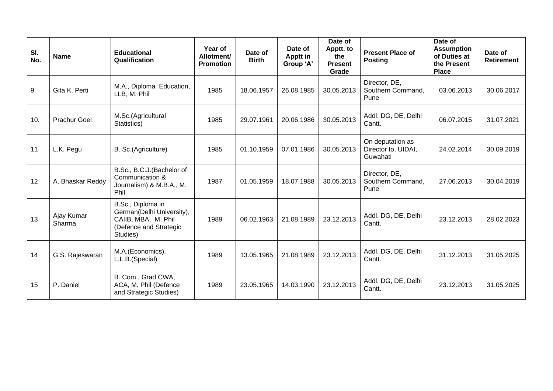| SI.<br>No. | <b>Name</b>          | <b>Educational</b><br>Qualification                                                                         | Year of<br>Allotment/<br><b>Promotion</b> | Date of<br><b>Birth</b> | Date of<br>Apptt in<br>Group 'A' | Date of<br>Apptt. to<br>the<br><b>Present</b><br>Grade | <b>Present Place of</b><br><b>Posting</b>           | Date of<br><b>Assumption</b><br>of Duties at<br>the Present<br><b>Place</b> | Date of<br><b>Retirement</b> |
|------------|----------------------|-------------------------------------------------------------------------------------------------------------|-------------------------------------------|-------------------------|----------------------------------|--------------------------------------------------------|-----------------------------------------------------|-----------------------------------------------------------------------------|------------------------------|
| 9.         | Gita K. Perti        | M.A., Diploma Education,<br>LLB, M. Phil                                                                    | 1985                                      | 18.06.1957              | 26.08.1985                       | 30.05.2013                                             | Director, DE,<br>Southern Command,<br>Pune          | 03.06.2013                                                                  | 30.06.2017                   |
| 10.        | <b>Prachur Goel</b>  | M.Sc.(Agricultural<br>Statistics)                                                                           | 1985                                      | 29.07.1961              | 20.06.1986                       | 30.05.2013                                             | Addl. DG, DE, Delhi<br>Cantt.                       | 06.07.2015                                                                  | 31.07.2021                   |
| 11         | L.K. Pegu            | B. Sc.(Agriculture)                                                                                         | 1985                                      | 01.10.1959              | 07.01.1986                       | 30.05.2013                                             | On deputation as<br>Director to, UIDAI,<br>Guwahati | 24.02.2014                                                                  | 30.09.2019                   |
| 12         | A. Bhaskar Reddy     | B.Sc., B.C.J.(Bachelor of<br>Communication &<br>Journalism) & M.B.A., M.<br>Phil                            | 1987                                      | 01.05.1959              | 18.07.1988                       | 30.05.2013                                             | Director, DE,<br>Southern Command,<br>Pune          | 27.06.2013                                                                  | 30.04.2019                   |
| 13         | Ajay Kumar<br>Sharma | B.Sc., Diploma in<br>German(Delhi University),<br>CAIIB, MBA, M. Phil<br>(Defence and Strategic<br>Studies) | 1989                                      | 06.02.1963              | 21.08.1989                       | 23.12.2013                                             | Addl. DG, DE, Delhi<br>Cantt.                       | 23.12.2013                                                                  | 28.02.2023                   |
| 14         | G.S. Rajeswaran      | M.A.(Economics),<br>L.L.B.(Special)                                                                         | 1989                                      | 13.05.1965              | 21.08.1989                       | 23.12.2013                                             | Addl. DG, DE, Delhi<br>Cantt.                       | 31.12.2013                                                                  | 31.05.2025                   |
| 15         | P. Daniel            | B. Com., Grad CWA,<br>ACA, M. Phil (Defence<br>and Strategic Studies)                                       | 1989                                      | 23.05.1965              | 14.03.1990                       | 23.12.2013                                             | Addl. DG, DE, Delhi<br>Cantt.                       | 23.12.2013                                                                  | 31.05.2025                   |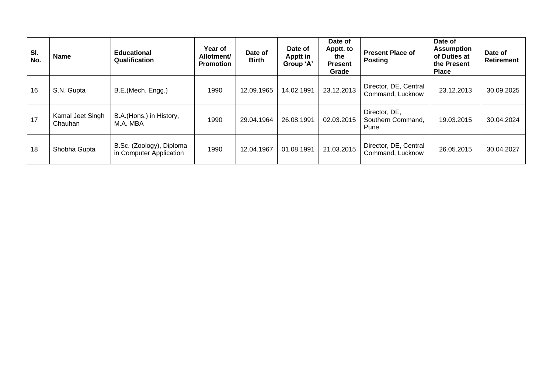| SI.<br>No. | <b>Name</b>                 | <b>Educational</b><br>Qualification                 | Year of<br>Allotment/<br><b>Promotion</b> | Date of<br><b>Birth</b> | Date of<br>Apptt in<br>Group 'A' | Date of<br>Apptt. to<br>the<br><b>Present</b><br>Grade | <b>Present Place of</b><br><b>Posting</b>  | Date of<br><b>Assumption</b><br>of Duties at<br>the Present<br><b>Place</b> | Date of<br><b>Retirement</b> |
|------------|-----------------------------|-----------------------------------------------------|-------------------------------------------|-------------------------|----------------------------------|--------------------------------------------------------|--------------------------------------------|-----------------------------------------------------------------------------|------------------------------|
| 16         | S.N. Gupta                  | B.E.(Mech. Engg.)                                   | 1990                                      | 12.09.1965              | 14.02.1991                       | 23.12.2013                                             | Director, DE, Central<br>Command, Lucknow  | 23.12.2013                                                                  | 30.09.2025                   |
| 17         | Kamal Jeet Singh<br>Chauhan | B.A.(Hons.) in History,<br>M.A. MBA                 | 1990                                      | 29.04.1964              | 26.08.1991                       | 02.03.2015                                             | Director, DE,<br>Southern Command,<br>Pune | 19.03.2015                                                                  | 30.04.2024                   |
| 18         | Shobha Gupta                | B.Sc. (Zoology), Diploma<br>in Computer Application | 1990                                      | 12.04.1967              | 01.08.1991                       | 21.03.2015                                             | Director, DE, Central<br>Command, Lucknow  | 26.05.2015                                                                  | 30.04.2027                   |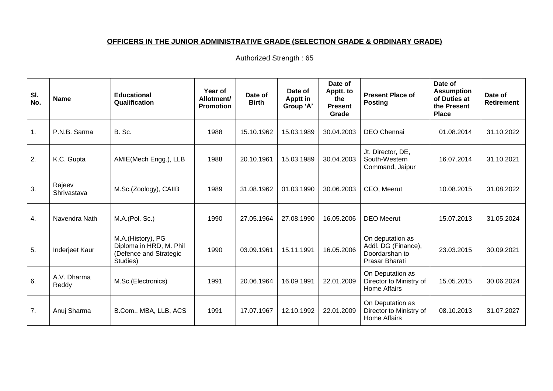# **OFFICERS IN THE JUNIOR ADMINISTRATIVE GRADE (SELECTION GRADE & ORDINARY GRADE)**

| SI.<br>No. | <b>Name</b>           | <b>Educational</b><br>Qualification                                                | Year of<br>Allotment/<br><b>Promotion</b> | Date of<br><b>Birth</b> | Date of<br><b>Apptt in</b><br>Group 'A' | Date of<br>Apptt. to<br>the<br><b>Present</b><br>Grade | <b>Present Place of</b><br><b>Posting</b>                                   | Date of<br><b>Assumption</b><br>of Duties at<br>the Present<br><b>Place</b> | Date of<br>Retirement |
|------------|-----------------------|------------------------------------------------------------------------------------|-------------------------------------------|-------------------------|-----------------------------------------|--------------------------------------------------------|-----------------------------------------------------------------------------|-----------------------------------------------------------------------------|-----------------------|
| 1.         | P.N.B. Sarma          | B. Sc.                                                                             | 1988                                      | 15.10.1962              | 15.03.1989                              | 30.04.2003                                             | DEO Chennai                                                                 | 01.08.2014                                                                  | 31.10.2022            |
| 2.         | K.C. Gupta            | AMIE(Mech Engg.), LLB                                                              | 1988                                      | 20.10.1961              | 15.03.1989                              | 30.04.2003                                             | Jt. Director, DE,<br>South-Western<br>Command, Jaipur                       | 16.07.2014                                                                  | 31.10.2021            |
| 3.         | Rajeev<br>Shrivastava | M.Sc.(Zoology), CAIIB                                                              | 1989                                      | 31.08.1962              | 01.03.1990                              | 30.06.2003                                             | CEO, Meerut                                                                 | 10.08.2015                                                                  | 31.08.2022            |
| 4.         | Navendra Nath         | M.A.(Pol. Sc.)                                                                     | 1990                                      | 27.05.1964              | 27.08.1990                              | 16.05.2006                                             | <b>DEO</b> Meerut                                                           | 15.07.2013                                                                  | 31.05.2024            |
| 5.         | Inderjeet Kaur        | M.A.(History), PG<br>Diploma in HRD, M. Phil<br>(Defence and Strategic<br>Studies) | 1990                                      | 03.09.1961              | 15.11.1991                              | 16.05.2006                                             | On deputation as<br>Addl. DG (Finance),<br>Doordarshan to<br>Prasar Bharati | 23.03.2015                                                                  | 30.09.2021            |
| 6.         | A.V. Dharma<br>Reddy  | M.Sc.(Electronics)                                                                 | 1991                                      | 20.06.1964              | 16.09.1991                              | 22.01.2009                                             | On Deputation as<br>Director to Ministry of<br><b>Home Affairs</b>          | 15.05.2015                                                                  | 30.06.2024            |
| 7.         | Anuj Sharma           | B.Com., MBA, LLB, ACS                                                              | 1991                                      | 17.07.1967              | 12.10.1992                              | 22.01.2009                                             | On Deputation as<br>Director to Ministry of<br><b>Home Affairs</b>          | 08.10.2013                                                                  | 31.07.2027            |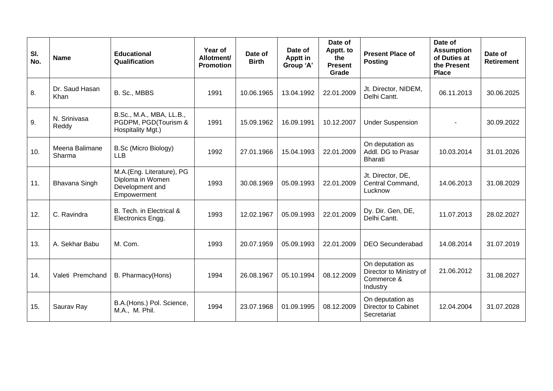| SI.<br>No. | <b>Name</b>              | <b>Educational</b><br>Qualification                                             | Year of<br>Allotment/<br><b>Promotion</b> | Date of<br><b>Birth</b> | Date of<br>Apptt in<br>Group 'A' | Date of<br>Apptt. to<br>the<br><b>Present</b><br>Grade | <b>Present Place of</b><br><b>Posting</b>                             | Date of<br><b>Assumption</b><br>of Duties at<br>the Present<br><b>Place</b> | Date of<br><b>Retirement</b> |
|------------|--------------------------|---------------------------------------------------------------------------------|-------------------------------------------|-------------------------|----------------------------------|--------------------------------------------------------|-----------------------------------------------------------------------|-----------------------------------------------------------------------------|------------------------------|
| 8.         | Dr. Saud Hasan<br>Khan   | B. Sc., MBBS                                                                    | 1991                                      | 10.06.1965              | 13.04.1992                       | 22.01.2009                                             | Jt. Director, NIDEM,<br>Delhi Cantt.                                  | 06.11.2013                                                                  | 30.06.2025                   |
| 9.         | N. Srinivasa<br>Reddy    | B.Sc., M.A., MBA, LL.B.,<br>PGDPM, PGD(Tourism &<br>Hospitality Mgt.)           | 1991                                      | 15.09.1962              | 16.09.1991                       | 10.12.2007                                             | <b>Under Suspension</b>                                               |                                                                             | 30.09.2022                   |
| 10.        | Meena Balimane<br>Sharma | B.Sc (Micro Biology)<br><b>LLB</b>                                              | 1992                                      | 27.01.1966              | 15.04.1993                       | 22.01.2009                                             | On deputation as<br>Addl. DG to Prasar<br><b>Bharati</b>              | 10.03.2014                                                                  | 31.01.2026                   |
| 11.        | <b>Bhavana Singh</b>     | M.A.(Eng. Literature), PG<br>Diploma in Women<br>Development and<br>Empowerment | 1993                                      | 30.08.1969              | 05.09.1993                       | 22.01.2009                                             | Jt. Director, DE,<br>Central Command,<br>Lucknow                      | 14.06.2013                                                                  | 31.08.2029                   |
| 12.        | C. Ravindra              | B. Tech. in Electrical &<br>Electronics Engg.                                   | 1993                                      | 12.02.1967              | 05.09.1993                       | 22.01.2009                                             | Dy. Dir. Gen, DE,<br>Delhi Cantt.                                     | 11.07.2013                                                                  | 28.02.2027                   |
| 13.        | A. Sekhar Babu           | M. Com.                                                                         | 1993                                      | 20.07.1959              | 05.09.1993                       | 22.01.2009                                             | <b>DEO Secunderabad</b>                                               | 14.08.2014                                                                  | 31.07.2019                   |
| 14.        | Valeti Premchand         | B. Pharmacy(Hons)                                                               | 1994                                      | 26.08.1967              | 05.10.1994                       | 08.12.2009                                             | On deputation as<br>Director to Ministry of<br>Commerce &<br>Industry | 21.06.2012                                                                  | 31.08.2027                   |
| 15.        | Saurav Ray               | B.A.(Hons.) Pol. Science,<br>M.A., M. Phil.                                     | 1994                                      | 23.07.1968              | 01.09.1995                       | 08.12.2009                                             | On deputation as<br><b>Director to Cabinet</b><br>Secretariat         | 12.04.2004                                                                  | 31.07.2028                   |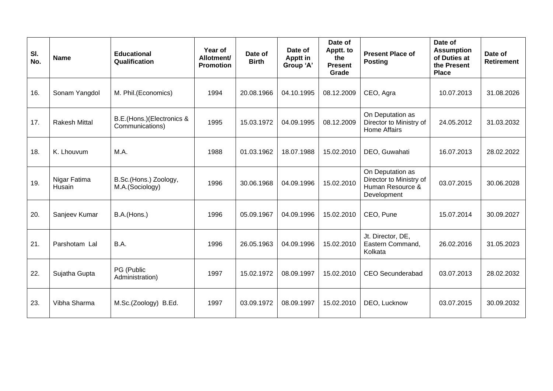| SI.<br>No. | <b>Name</b>            | <b>Educational</b><br>Qualification          | Year of<br>Allotment/<br><b>Promotion</b> | Date of<br><b>Birth</b> | Date of<br>Apptt in<br>Group 'A' | Date of<br>Apptt. to<br>the<br><b>Present</b><br>Grade | <b>Present Place of</b><br><b>Posting</b>                                      | Date of<br><b>Assumption</b><br>of Duties at<br>the Present<br><b>Place</b> | Date of<br><b>Retirement</b> |
|------------|------------------------|----------------------------------------------|-------------------------------------------|-------------------------|----------------------------------|--------------------------------------------------------|--------------------------------------------------------------------------------|-----------------------------------------------------------------------------|------------------------------|
| 16.        | Sonam Yangdol          | M. Phil.(Economics)                          | 1994                                      | 20.08.1966              | 04.10.1995                       | 08.12.2009                                             | CEO, Agra                                                                      | 10.07.2013                                                                  | 31.08.2026                   |
| 17.        | <b>Rakesh Mittal</b>   | B.E.(Hons.)(Electronics &<br>Communications) | 1995                                      | 15.03.1972              | 04.09.1995                       | 08.12.2009                                             | On Deputation as<br>Director to Ministry of<br>Home Affairs                    | 24.05.2012                                                                  | 31.03.2032                   |
| 18.        | K. Lhouvum             | M.A.                                         | 1988                                      | 01.03.1962              | 18.07.1988                       | 15.02.2010                                             | DEO, Guwahati                                                                  | 16.07.2013                                                                  | 28.02.2022                   |
| 19.        | Nigar Fatima<br>Husain | B.Sc.(Hons.) Zoology,<br>M.A.(Sociology)     | 1996                                      | 30.06.1968              | 04.09.1996                       | 15.02.2010                                             | On Deputation as<br>Director to Ministry of<br>Human Resource &<br>Development | 03.07.2015                                                                  | 30.06.2028                   |
| 20.        | Sanjeev Kumar          | B.A.(Hons.)                                  | 1996                                      | 05.09.1967              | 04.09.1996                       | 15.02.2010                                             | CEO, Pune                                                                      | 15.07.2014                                                                  | 30.09.2027                   |
| 21.        | Parshotam Lal          | B.A.                                         | 1996                                      | 26.05.1963              | 04.09.1996                       | 15.02.2010                                             | Jt. Director, DE,<br>Eastern Command,<br>Kolkata                               | 26.02.2016                                                                  | 31.05.2023                   |
| 22.        | Sujatha Gupta          | PG (Public<br>Administration)                | 1997                                      | 15.02.1972              | 08.09.1997                       | 15.02.2010                                             | <b>CEO Secunderabad</b>                                                        | 03.07.2013                                                                  | 28.02.2032                   |
| 23.        | Vibha Sharma           | M.Sc.(Zoology) B.Ed.                         | 1997                                      | 03.09.1972              | 08.09.1997                       | 15.02.2010                                             | DEO, Lucknow                                                                   | 03.07.2015                                                                  | 30.09.2032                   |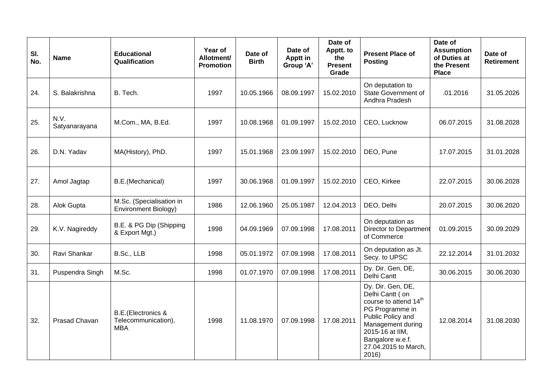| SI.<br>No. | <b>Name</b>           | <b>Educational</b><br>Qualification                             | <b>Year of</b><br>Allotment/<br><b>Promotion</b> | Date of<br><b>Birth</b> | Date of<br><b>Apptt in</b><br>Group 'A' | Date of<br>Apptt. to<br>the<br><b>Present</b><br>Grade | <b>Present Place of</b><br><b>Posting</b>                                                                                                                                                                     | Date of<br><b>Assumption</b><br>of Duties at<br>the Present<br><b>Place</b> | Date of<br><b>Retirement</b> |
|------------|-----------------------|-----------------------------------------------------------------|--------------------------------------------------|-------------------------|-----------------------------------------|--------------------------------------------------------|---------------------------------------------------------------------------------------------------------------------------------------------------------------------------------------------------------------|-----------------------------------------------------------------------------|------------------------------|
| 24.        | S. Balakrishna        | B. Tech.                                                        | 1997                                             | 10.05.1966              | 08.09.1997                              | 15.02.2010                                             | On deputation to<br>State Government of<br>Andhra Pradesh                                                                                                                                                     | .01.2016                                                                    | 31.05.2026                   |
| 25.        | N.V.<br>Satyanarayana | M.Com., MA, B.Ed.                                               | 1997                                             | 10.08.1968              | 01.09.1997                              | 15.02.2010                                             | CEO, Lucknow                                                                                                                                                                                                  | 06.07.2015                                                                  | 31.08.2028                   |
| 26.        | D.N. Yadav            | MA(History), PhD.                                               | 1997                                             | 15.01.1968              | 23.09.1997                              | 15.02.2010                                             | DEO, Pune                                                                                                                                                                                                     | 17.07.2015                                                                  | 31.01.2028                   |
| 27.        | Amol Jagtap           | B.E.(Mechanical)                                                | 1997                                             | 30.06.1968              | 01.09.1997                              | 15.02.2010                                             | CEO, Kirkee                                                                                                                                                                                                   | 22.07.2015                                                                  | 30.06.2028                   |
| 28.        | Alok Gupta            | M.Sc. (Specialisation in<br>Environment Biology)                | 1986                                             | 12.06.1960              | 25.05.1987                              | 12.04.2013                                             | DEO, Delhi                                                                                                                                                                                                    | 20.07.2015                                                                  | 30.06.2020                   |
| 29.        | K.V. Nagireddy        | B.E. & PG Dip (Shipping<br>& Export Mgt.)                       | 1998                                             | 04.09.1969              | 07.09.1998                              | 17.08.2011                                             | On deputation as<br>Director to Department<br>of Commerce                                                                                                                                                     | 01.09.2015                                                                  | 30.09.2029                   |
| 30.        | Ravi Shankar          | B.Sc., LLB                                                      | 1998                                             | 05.01.1972              | 07.09.1998                              | 17.08.2011                                             | On deputation as Jt.<br>Secy. to UPSC                                                                                                                                                                         | 22.12.2014                                                                  | 31.01.2032                   |
| 31.        | Puspendra Singh       | M.Sc.                                                           | 1998                                             | 01.07.1970              | 07.09.1998                              | 17.08.2011                                             | Dy. Dir. Gen, DE,<br>Delhi Cantt                                                                                                                                                                              | 30.06.2015                                                                  | 30.06.2030                   |
| 32.        | Prasad Chavan         | <b>B.E.</b> (Electronics &<br>Telecommunication),<br><b>MBA</b> | 1998                                             | 11.08.1970              | 07.09.1998                              | 17.08.2011                                             | Dy. Dir. Gen, DE,<br>Delhi Cantt (on<br>course to attend 14 <sup>th</sup><br>PG Programme in<br>Public Policy and<br>Management during<br>2015-16 at IIM,<br>Bangalore w.e.f.<br>27.04.2015 to March,<br>2016 | 12.08.2014                                                                  | 31.08.2030                   |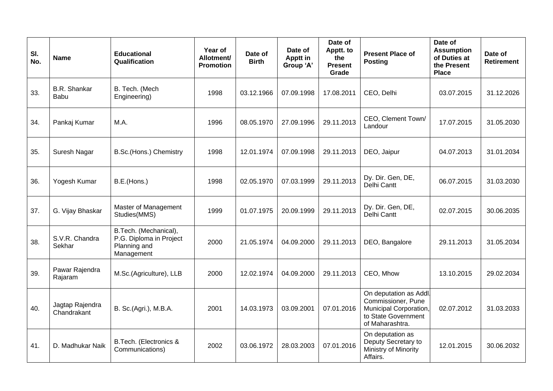| SI.<br>No. | <b>Name</b>                    | <b>Educational</b><br>Qualification                                            | Year of<br>Allotment/<br><b>Promotion</b> | Date of<br><b>Birth</b> | Date of<br>Apptt in<br>Group 'A' | Date of<br>Apptt. to<br>the<br><b>Present</b><br>Grade | <b>Present Place of</b><br><b>Posting</b>                                                                        | Date of<br><b>Assumption</b><br>of Duties at<br>the Present<br><b>Place</b> | Date of<br><b>Retirement</b> |
|------------|--------------------------------|--------------------------------------------------------------------------------|-------------------------------------------|-------------------------|----------------------------------|--------------------------------------------------------|------------------------------------------------------------------------------------------------------------------|-----------------------------------------------------------------------------|------------------------------|
| 33.        | <b>B.R.</b> Shankar<br>Babu    | B. Tech. (Mech<br>Engineering)                                                 | 1998                                      | 03.12.1966              | 07.09.1998                       | 17.08.2011                                             | CEO, Delhi                                                                                                       | 03.07.2015                                                                  | 31.12.2026                   |
| 34.        | Pankaj Kumar                   | M.A.                                                                           | 1996                                      | 08.05.1970              | 27.09.1996                       | 29.11.2013                                             | CEO, Clement Town/<br>Landour                                                                                    | 17.07.2015                                                                  | 31.05.2030                   |
| 35.        | Suresh Nagar                   | B.Sc.(Hons.) Chemistry                                                         | 1998                                      | 12.01.1974              | 07.09.1998                       | 29.11.2013                                             | DEO, Jaipur                                                                                                      | 04.07.2013                                                                  | 31.01.2034                   |
| 36.        | Yogesh Kumar                   | B.E.(Hons.)                                                                    | 1998                                      | 02.05.1970              | 07.03.1999                       | 29.11.2013                                             | Dy. Dir. Gen, DE,<br>Delhi Cantt                                                                                 | 06.07.2015                                                                  | 31.03.2030                   |
| 37.        | G. Vijay Bhaskar               | Master of Management<br>Studies(MMS)                                           | 1999                                      | 01.07.1975              | 20.09.1999                       | 29.11.2013                                             | Dy. Dir. Gen, DE,<br>Delhi Cantt                                                                                 | 02.07.2015                                                                  | 30.06.2035                   |
| 38.        | S.V.R. Chandra<br>Sekhar       | B.Tech. (Mechanical),<br>P.G. Diploma in Project<br>Planning and<br>Management | 2000                                      | 21.05.1974              | 04.09.2000                       | 29.11.2013                                             | DEO, Bangalore                                                                                                   | 29.11.2013                                                                  | 31.05.2034                   |
| 39.        | Pawar Rajendra<br>Rajaram      | M.Sc.(Agriculture), LLB                                                        | 2000                                      | 12.02.1974              | 04.09.2000                       | 29.11.2013                                             | CEO, Mhow                                                                                                        | 13.10.2015                                                                  | 29.02.2034                   |
| 40.        | Jagtap Rajendra<br>Chandrakant | B. Sc.(Agri.), M.B.A.                                                          | 2001                                      | 14.03.1973              | 03.09.2001                       | 07.01.2016                                             | On deputation as Addl.<br>Commissioner, Pune<br>Municipal Corporation,<br>to State Government<br>of Maharashtra. | 02.07.2012                                                                  | 31.03.2033                   |
| 41.        | D. Madhukar Naik               | B.Tech. (Electronics &<br>Communications)                                      | 2002                                      | 03.06.1972              | 28.03.2003                       | 07.01.2016                                             | On deputation as<br>Deputy Secretary to<br>Ministry of Minority<br>Affairs.                                      | 12.01.2015                                                                  | 30.06.2032                   |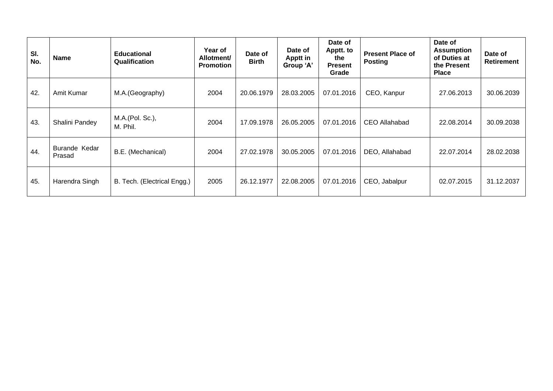| SI.<br>No. | <b>Name</b>                    | <b>Educational</b><br>Qualification | Year of<br>Allotment/<br><b>Promotion</b> | Date of<br><b>Birth</b> | Date of<br>Apptt in<br>Group 'A' | Date of<br>Apptt. to<br>the<br><b>Present</b><br>Grade | <b>Present Place of</b><br><b>Posting</b> | Date of<br><b>Assumption</b><br>of Duties at<br>the Present<br><b>Place</b> | Date of<br><b>Retirement</b> |
|------------|--------------------------------|-------------------------------------|-------------------------------------------|-------------------------|----------------------------------|--------------------------------------------------------|-------------------------------------------|-----------------------------------------------------------------------------|------------------------------|
| 42.        | Amit Kumar                     | M.A.(Geography)                     | 2004                                      | 20.06.1979              | 28.03.2005                       | 07.01.2016                                             | CEO, Kanpur                               | 27.06.2013                                                                  | 30.06.2039                   |
| 43.        | Shalini Pandey                 | M.A.(Pol. Sc.),<br>M. Phil.         | 2004                                      | 17.09.1978              | 26.05.2005                       | 07.01.2016                                             | CEO Allahabad                             | 22.08.2014                                                                  | 30.09.2038                   |
| 44.        | <b>Burande Kedar</b><br>Prasad | B.E. (Mechanical)                   | 2004                                      | 27.02.1978              | 30.05.2005                       | 07.01.2016                                             | DEO, Allahabad                            | 22.07.2014                                                                  | 28.02.2038                   |
| 45.        | Harendra Singh                 | B. Tech. (Electrical Engg.)         | 2005                                      | 26.12.1977              | 22.08.2005                       | 07.01.2016                                             | CEO, Jabalpur                             | 02.07.2015                                                                  | 31.12.2037                   |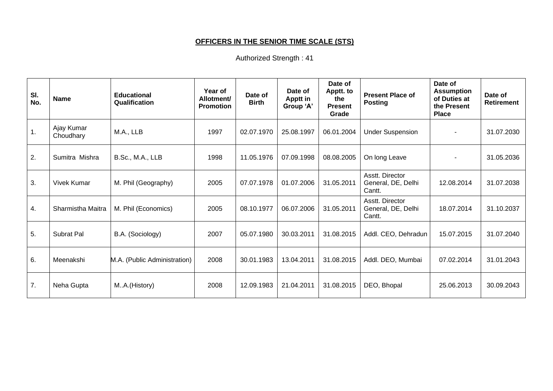# **OFFICERS IN THE SENIOR TIME SCALE (STS)**

| SI.<br>No.     | <b>Name</b>             | <b>Educational</b><br>Qualification | Year of<br>Allotment/<br><b>Promotion</b> | Date of<br><b>Birth</b> | Date of<br><b>Apptt in</b><br>Group 'A' | Date of<br>Apptt. to<br>the<br><b>Present</b><br>Grade | <b>Present Place of</b><br><b>Posting</b>       | Date of<br><b>Assumption</b><br>of Duties at<br>the Present<br><b>Place</b> | Date of<br>Retirement |
|----------------|-------------------------|-------------------------------------|-------------------------------------------|-------------------------|-----------------------------------------|--------------------------------------------------------|-------------------------------------------------|-----------------------------------------------------------------------------|-----------------------|
| $\mathbf{1}$ . | Ajay Kumar<br>Choudhary | M.A., LLB                           | 1997                                      | 02.07.1970              | 25.08.1997                              | 06.01.2004                                             | <b>Under Suspension</b>                         |                                                                             | 31.07.2030            |
| 2.             | Sumitra Mishra          | B.Sc., M.A., LLB                    | 1998                                      | 11.05.1976              | 07.09.1998                              | 08.08.2005                                             | On long Leave                                   |                                                                             | 31.05.2036            |
| 3.             | <b>Vivek Kumar</b>      | M. Phil (Geography)                 | 2005                                      | 07.07.1978              | 01.07.2006                              | 31.05.2011                                             | Asstt. Director<br>General, DE, Delhi<br>Cantt. | 12.08.2014                                                                  | 31.07.2038            |
| 4.             | Sharmistha Maitra       | M. Phil (Economics)                 | 2005                                      | 08.10.1977              | 06.07.2006                              | 31.05.2011                                             | Asstt. Director<br>General, DE, Delhi<br>Cantt. | 18.07.2014                                                                  | 31.10.2037            |
| 5.             | Subrat Pal              | B.A. (Sociology)                    | 2007                                      | 05.07.1980              | 30.03.2011                              | 31.08.2015                                             | Addl. CEO, Dehradun                             | 15.07.2015                                                                  | 31.07.2040            |
| 6.             | Meenakshi               | M.A. (Public Administration)        | 2008                                      | 30.01.1983              | 13.04.2011                              | 31.08.2015                                             | Addl. DEO, Mumbai                               | 07.02.2014                                                                  | 31.01.2043            |
| 7.             | Neha Gupta              | MA.(History)                        | 2008                                      | 12.09.1983              | 21.04.2011                              | 31.08.2015                                             | DEO, Bhopal                                     | 25.06.2013                                                                  | 30.09.2043            |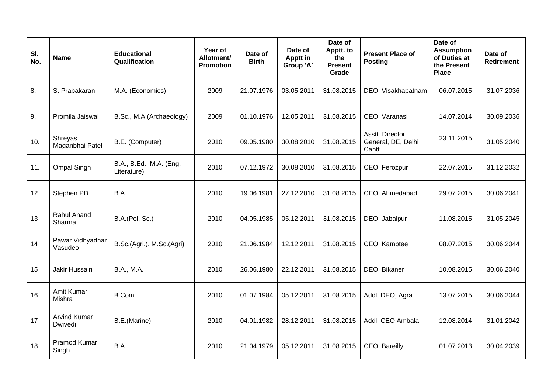| SI.<br>No. | <b>Name</b>                    | <b>Educational</b><br>Qualification    | Year of<br>Allotment/<br><b>Promotion</b> | Date of<br><b>Birth</b> | Date of<br><b>Apptt in</b><br>Group 'A' | Date of<br>Apptt. to<br>the<br><b>Present</b><br>Grade | <b>Present Place of</b><br><b>Posting</b>       | Date of<br><b>Assumption</b><br>of Duties at<br>the Present<br><b>Place</b> | Date of<br><b>Retirement</b> |
|------------|--------------------------------|----------------------------------------|-------------------------------------------|-------------------------|-----------------------------------------|--------------------------------------------------------|-------------------------------------------------|-----------------------------------------------------------------------------|------------------------------|
| 8.         | S. Prabakaran                  | M.A. (Economics)                       | 2009                                      | 21.07.1976              | 03.05.2011                              | 31.08.2015                                             | DEO, Visakhapatnam                              | 06.07.2015                                                                  | 31.07.2036                   |
| 9.         | Promila Jaiswal                | B.Sc., M.A.(Archaeology)               | 2009                                      | 01.10.1976              | 12.05.2011                              | 31.08.2015                                             | CEO, Varanasi                                   | 14.07.2014                                                                  | 30.09.2036                   |
| 10.        | Shreyas<br>Maganbhai Patel     | B.E. (Computer)                        | 2010                                      | 09.05.1980              | 30.08.2010                              | 31.08.2015                                             | Asstt. Director<br>General, DE, Delhi<br>Cantt. | 23.11.2015                                                                  | 31.05.2040                   |
| 11.        | <b>Ompal Singh</b>             | B.A., B.Ed., M.A. (Eng.<br>Literature) | 2010                                      | 07.12.1972              | 30.08.2010                              | 31.08.2015                                             | CEO, Ferozpur                                   | 22.07.2015                                                                  | 31.12.2032                   |
| 12.        | Stephen PD                     | B.A.                                   | 2010                                      | 19.06.1981              | 27.12.2010                              | 31.08.2015                                             | CEO, Ahmedabad                                  | 29.07.2015                                                                  | 30.06.2041                   |
| 13         | Rahul Anand<br>Sharma          | B.A.(Pol. Sc.)                         | 2010                                      | 04.05.1985              | 05.12.2011                              | 31.08.2015                                             | DEO, Jabalpur                                   | 11.08.2015                                                                  | 31.05.2045                   |
| 14         | Pawar Vidhyadhar<br>Vasudeo    | B.Sc.(Agri.), M.Sc.(Agri)              | 2010                                      | 21.06.1984              | 12.12.2011                              | 31.08.2015                                             | CEO, Kamptee                                    | 08.07.2015                                                                  | 30.06.2044                   |
| 15         | Jakir Hussain                  | B.A., M.A.                             | 2010                                      | 26.06.1980              | 22.12.2011                              | 31.08.2015                                             | DEO, Bikaner                                    | 10.08.2015                                                                  | 30.06.2040                   |
| 16         | Amit Kumar<br>Mishra           | B.Com.                                 | 2010                                      | 01.07.1984              | 05.12.2011                              | 31.08.2015                                             | Addl. DEO, Agra                                 | 13.07.2015                                                                  | 30.06.2044                   |
| 17         | <b>Arvind Kumar</b><br>Dwivedi | B.E.(Marine)                           | 2010                                      | 04.01.1982              | 28.12.2011                              | 31.08.2015                                             | Addl. CEO Ambala                                | 12.08.2014                                                                  | 31.01.2042                   |
| 18         | Pramod Kumar<br>Singh          | B.A.                                   | 2010                                      | 21.04.1979              | 05.12.2011                              | 31.08.2015                                             | CEO, Bareilly                                   | 01.07.2013                                                                  | 30.04.2039                   |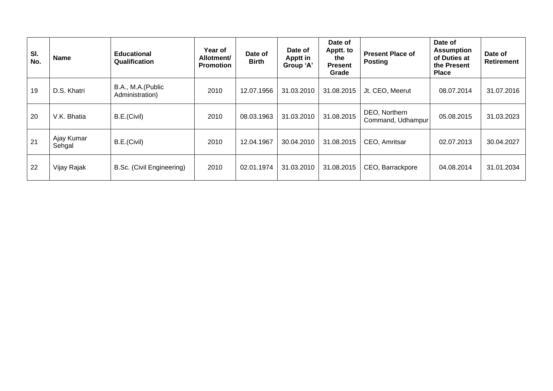| SI.<br>No. | <b>Name</b>          | <b>Educational</b><br>Qualification  | Year of<br>Allotment/<br><b>Promotion</b> | Date of<br><b>Birth</b> | Date of<br>Apptt in<br>Group 'A' | Date of<br>Apptt. to<br>the<br><b>Present</b><br>Grade | <b>Present Place of</b><br><b>Posting</b> | Date of<br><b>Assumption</b><br>of Duties at<br>the Present<br><b>Place</b> | Date of<br><b>Retirement</b> |
|------------|----------------------|--------------------------------------|-------------------------------------------|-------------------------|----------------------------------|--------------------------------------------------------|-------------------------------------------|-----------------------------------------------------------------------------|------------------------------|
| 19         | D.S. Khatri          | B.A., M.A.(Public<br>Administration) | 2010                                      | 12.07.1956              | 31.03.2010                       | 31.08.2015                                             | Jt. CEO, Meerut                           | 08.07.2014                                                                  | 31.07.2016                   |
| 20         | V.K. Bhatia          | B.E.(Civil)                          | 2010                                      | 08.03.1963              | 31.03.2010                       | 31.08.2015                                             | DEO, Northern<br>Command, Udhampur        | 05.08.2015                                                                  | 31.03.2023                   |
| 21         | Ajay Kumar<br>Sehgal | B.E.(Civil)                          | 2010                                      | 12.04.1967              | 30.04.2010                       | 31.08.2015                                             | CEO, Amritsar                             | 02.07.2013                                                                  | 30.04.2027                   |
| 22         | Vijay Rajak          | B.Sc. (Civil Engineering)            | 2010                                      | 02.01.1974              | 31.03.2010                       | 31.08.2015                                             | CEO, Barrackpore                          | 04.08.2014                                                                  | 31.01.2034                   |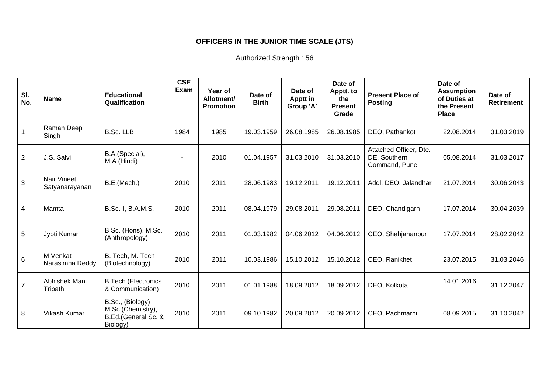# **OFFICERS IN THE JUNIOR TIME SCALE (JTS)**

| SI.<br>No.               | <b>Name</b>                          | <b>Educational</b><br>Qualification                                      | <b>CSE</b><br><b>Exam</b> | Year of<br>Allotment/<br><b>Promotion</b> | Date of<br><b>Birth</b> | Date of<br>Apptt in<br>Group 'A' | Date of<br>Apptt. to<br>the<br><b>Present</b><br>Grade | <b>Present Place of</b><br><b>Posting</b>               | Date of<br><b>Assumption</b><br>of Duties at<br>the Present<br><b>Place</b> | Date of<br><b>Retirement</b> |
|--------------------------|--------------------------------------|--------------------------------------------------------------------------|---------------------------|-------------------------------------------|-------------------------|----------------------------------|--------------------------------------------------------|---------------------------------------------------------|-----------------------------------------------------------------------------|------------------------------|
| $\mathbf{1}$             | Raman Deep<br>Singh                  | <b>B.Sc. LLB</b>                                                         | 1984                      | 1985                                      | 19.03.1959              | 26.08.1985                       | 26.08.1985                                             | DEO, Pathankot                                          | 22.08.2014                                                                  | 31.03.2019                   |
| $\overline{2}$           | J.S. Salvi                           | B.A.(Special),<br>M.A.(Hindi)                                            |                           | 2010                                      | 01.04.1957              | 31.03.2010                       | 31.03.2010                                             | Attached Officer, Dte.<br>DE, Southern<br>Command, Pune | 05.08.2014                                                                  | 31.03.2017                   |
| 3                        | <b>Nair Vineet</b><br>Satyanarayanan | B.E.(Mech.)                                                              | 2010                      | 2011                                      | 28.06.1983              | 19.12.2011                       | 19.12.2011                                             | Addl. DEO, Jalandhar                                    | 21.07.2014                                                                  | 30.06.2043                   |
| $\overline{\mathcal{A}}$ | Mamta                                | B.Sc.-I, B.A.M.S.                                                        | 2010                      | 2011                                      | 08.04.1979              | 29.08.2011                       | 29.08.2011                                             | DEO, Chandigarh                                         | 17.07.2014                                                                  | 30.04.2039                   |
| 5                        | Jyoti Kumar                          | B Sc. (Hons), M.Sc.<br>(Anthropology)                                    | 2010                      | 2011                                      | 01.03.1982              | 04.06.2012                       | 04.06.2012                                             | CEO, Shahjahanpur                                       | 17.07.2014                                                                  | 28.02.2042                   |
| $6\phantom{1}$           | M Venkat<br>Narasimha Reddy          | B. Tech, M. Tech<br>(Biotechnology)                                      | 2010                      | 2011                                      | 10.03.1986              | 15.10.2012                       | 15.10.2012                                             | CEO, Ranikhet                                           | 23.07.2015                                                                  | 31.03.2046                   |
| $\overline{7}$           | Abhishek Mani<br>Tripathi            | <b>B.Tech (Electronics</b><br>& Communication)                           | 2010                      | 2011                                      | 01.01.1988              | 18.09.2012                       | 18.09.2012                                             | DEO, Kolkota                                            | 14.01.2016                                                                  | 31.12.2047                   |
| 8                        | Vikash Kumar                         | B.Sc., (Biology)<br>M.Sc.(Chemistry),<br>B.Ed.(General Sc. &<br>Biology) | 2010                      | 2011                                      | 09.10.1982              | 20.09.2012                       | 20.09.2012                                             | CEO, Pachmarhi                                          | 08.09.2015                                                                  | 31.10.2042                   |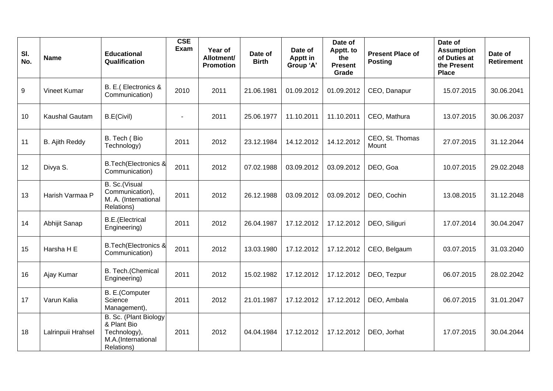| SI.<br>No. | <b>Name</b>        | <b>Educational</b><br>Qualification                                                       | <b>CSE</b><br>Exam | Year of<br>Allotment/<br><b>Promotion</b> | Date of<br><b>Birth</b> | Date of<br>Apptt in<br>Group 'A' | Date of<br>Apptt. to<br>the<br><b>Present</b><br>Grade | <b>Present Place of</b><br><b>Posting</b> | Date of<br><b>Assumption</b><br>of Duties at<br>the Present<br><b>Place</b> | Date of<br><b>Retirement</b> |
|------------|--------------------|-------------------------------------------------------------------------------------------|--------------------|-------------------------------------------|-------------------------|----------------------------------|--------------------------------------------------------|-------------------------------------------|-----------------------------------------------------------------------------|------------------------------|
| $9\,$      | Vineet Kumar       | B. E.(Electronics &<br>Communication)                                                     | 2010               | 2011                                      | 21.06.1981              | 01.09.2012                       | 01.09.2012                                             | CEO, Danapur                              | 15.07.2015                                                                  | 30.06.2041                   |
| 10         | Kaushal Gautam     | B.E(Civil)                                                                                |                    | 2011                                      | 25.06.1977              | 11.10.2011                       | 11.10.2011                                             | CEO, Mathura                              | 13.07.2015                                                                  | 30.06.2037                   |
| 11         | B. Ajith Reddy     | B. Tech (Bio<br>Technology)                                                               | 2011               | 2012                                      | 23.12.1984              | 14.12.2012                       | 14.12.2012                                             | CEO, St. Thomas<br>Mount                  | 27.07.2015                                                                  | 31.12.2044                   |
| 12         | Divya S.           | <b>B.Tech</b> (Electronics &<br>Communication)                                            | 2011               | 2012                                      | 07.02.1988              | 03.09.2012                       | 03.09.2012                                             | DEO, Goa                                  | 10.07.2015                                                                  | 29.02.2048                   |
| 13         | Harish Varmaa P    | B. Sc.(Visual<br>Communication),<br>M. A. (International<br>Relations)                    | 2011               | 2012                                      | 26.12.1988              | 03.09.2012                       | 03.09.2012                                             | DEO, Cochin                               | 13.08.2015                                                                  | 31.12.2048                   |
| 14         | Abhijit Sanap      | <b>B.E.</b> (Electrical<br>Engineering)                                                   | 2011               | 2012                                      | 26.04.1987              | 17.12.2012                       | 17.12.2012                                             | DEO, Siliguri                             | 17.07.2014                                                                  | 30.04.2047                   |
| 15         | Harsha H E         | <b>B.Tech</b> (Electronics &<br>Communication)                                            | 2011               | 2012                                      | 13.03.1980              | 17.12.2012                       | 17.12.2012                                             | CEO, Belgaum                              | 03.07.2015                                                                  | 31.03.2040                   |
| 16         | Ajay Kumar         | B. Tech.(Chemical<br>Engineering)                                                         | 2011               | 2012                                      | 15.02.1982              | 17.12.2012                       | 17.12.2012                                             | DEO, Tezpur                               | 06.07.2015                                                                  | 28.02.2042                   |
| 17         | Varun Kalia        | B. E.(Computer<br>Science<br>Management),                                                 | 2011               | 2012                                      | 21.01.1987              | 17.12.2012                       | 17.12.2012                                             | DEO, Ambala                               | 06.07.2015                                                                  | 31.01.2047                   |
| 18         | Lalrinpuii Hrahsel | B. Sc. (Plant Biology)<br>& Plant Bio<br>Technology),<br>M.A.(International<br>Relations) | 2011               | 2012                                      | 04.04.1984              | 17.12.2012                       | 17.12.2012                                             | DEO, Jorhat                               | 17.07.2015                                                                  | 30.04.2044                   |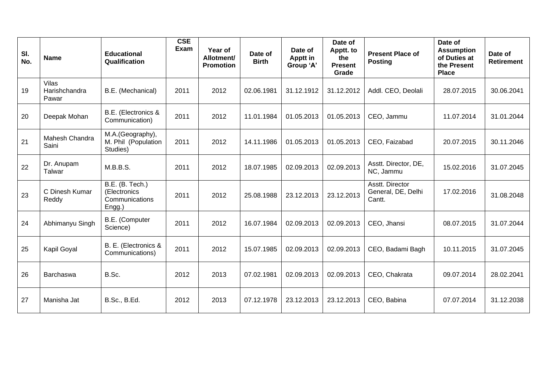| SI.<br>No. | <b>Name</b>                            | <b>Educational</b><br>Qualification                         | <b>CSE</b><br>Exam | Year of<br>Allotment/<br><b>Promotion</b> | Date of<br><b>Birth</b> | Date of<br>Apptt in<br>Group 'A' | Date of<br>Apptt. to<br>the<br><b>Present</b><br>Grade | <b>Present Place of</b><br><b>Posting</b>       | Date of<br><b>Assumption</b><br>of Duties at<br>the Present<br><b>Place</b> | Date of<br><b>Retirement</b> |
|------------|----------------------------------------|-------------------------------------------------------------|--------------------|-------------------------------------------|-------------------------|----------------------------------|--------------------------------------------------------|-------------------------------------------------|-----------------------------------------------------------------------------|------------------------------|
| 19         | <b>Vilas</b><br>Harishchandra<br>Pawar | B.E. (Mechanical)                                           | 2011               | 2012                                      | 02.06.1981              | 31.12.1912                       | 31.12.2012                                             | Addl. CEO, Deolali                              | 28.07.2015                                                                  | 30.06.2041                   |
| 20         | Deepak Mohan                           | B.E. (Electronics &<br>Communication)                       | 2011               | 2012                                      | 11.01.1984              | 01.05.2013                       | 01.05.2013                                             | CEO, Jammu                                      | 11.07.2014                                                                  | 31.01.2044                   |
| 21         | Mahesh Chandra<br>Saini                | M.A.(Geography),<br>M. Phil (Population<br>Studies)         | 2011               | 2012                                      | 14.11.1986              | 01.05.2013                       | 01.05.2013                                             | CEO, Faizabad                                   | 20.07.2015                                                                  | 30.11.2046                   |
| 22         | Dr. Anupam<br>Talwar                   | M.B.B.S.                                                    | 2011               | 2012                                      | 18.07.1985              | 02.09.2013                       | 02.09.2013                                             | Asstt. Director, DE,<br>NC, Jammu               | 15.02.2016                                                                  | 31.07.2045                   |
| 23         | C Dinesh Kumar<br>Reddy                | B.E. (B. Tech.)<br>(Electronics<br>Communications<br>Engg.) | 2011               | 2012                                      | 25.08.1988              | 23.12.2013                       | 23.12.2013                                             | Asstt. Director<br>General, DE, Delhi<br>Cantt. | 17.02.2016                                                                  | 31.08.2048                   |
| 24         | Abhimanyu Singh                        | B.E. (Computer<br>Science)                                  | 2011               | 2012                                      | 16.07.1984              | 02.09.2013                       | 02.09.2013                                             | CEO, Jhansi                                     | 08.07.2015                                                                  | 31.07.2044                   |
| 25         | Kapil Goyal                            | B. E. (Electronics &<br>Communications)                     | 2011               | 2012                                      | 15.07.1985              | 02.09.2013                       | 02.09.2013                                             | CEO, Badami Bagh                                | 10.11.2015                                                                  | 31.07.2045                   |
| 26         | <b>Barchaswa</b>                       | B.Sc.                                                       | 2012               | 2013                                      | 07.02.1981              | 02.09.2013                       | 02.09.2013                                             | CEO, Chakrata                                   | 09.07.2014                                                                  | 28.02.2041                   |
| 27         | Manisha Jat                            | <b>B.Sc., B.Ed.</b>                                         | 2012               | 2013                                      | 07.12.1978              | 23.12.2013                       | 23.12.2013                                             | CEO, Babina                                     | 07.07.2014                                                                  | 31.12.2038                   |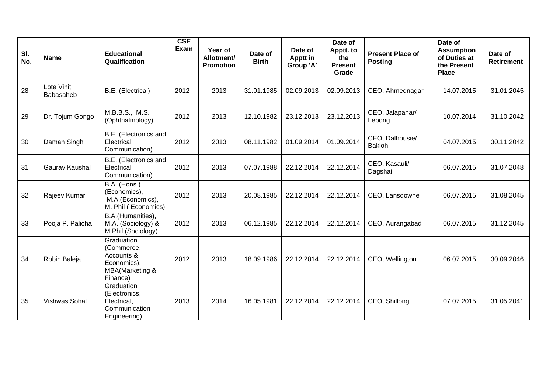| SI.<br>No. | <b>Name</b>             | <b>Educational</b><br>Qualification                                                  | <b>CSE</b><br>Exam | Year of<br>Allotment/<br><b>Promotion</b> | Date of<br><b>Birth</b> | Date of<br>Apptt in<br>Group 'A' | Date of<br>Apptt. to<br>the<br><b>Present</b><br>Grade | <b>Present Place of</b><br><b>Posting</b> | Date of<br><b>Assumption</b><br>of Duties at<br>the Present<br><b>Place</b> | Date of<br><b>Retirement</b> |
|------------|-------------------------|--------------------------------------------------------------------------------------|--------------------|-------------------------------------------|-------------------------|----------------------------------|--------------------------------------------------------|-------------------------------------------|-----------------------------------------------------------------------------|------------------------------|
| 28         | Lote Vinit<br>Babasaheb | B.E. (Electrical)                                                                    | 2012               | 2013                                      | 31.01.1985              | 02.09.2013                       | 02.09.2013                                             | CEO, Ahmednagar                           | 14.07.2015                                                                  | 31.01.2045                   |
| 29         | Dr. Tojum Gongo         | M.B.B.S., M.S.<br>(Ophthalmology)                                                    | 2012               | 2013                                      | 12.10.1982              | 23.12.2013                       | 23.12.2013                                             | CEO, Jalapahar/<br>Lebong                 | 10.07.2014                                                                  | 31.10.2042                   |
| 30         | Daman Singh             | B.E. (Electronics and<br>Electrical<br>Communication)                                | 2012               | 2013                                      | 08.11.1982              | 01.09.2014                       | 01.09.2014                                             | CEO, Dalhousie/<br><b>Bakloh</b>          | 04.07.2015                                                                  | 30.11.2042                   |
| 31         | Gaurav Kaushal          | B.E. (Electronics and<br>Electrical<br>Communication)                                | 2012               | 2013                                      | 07.07.1988              | 22.12.2014                       | 22.12.2014                                             | CEO, Kasauli/<br>Dagshai                  | 06.07.2015                                                                  | 31.07.2048                   |
| 32         | Rajeev Kumar            | B.A. (Hons.)<br>(Economics),<br>M.A.(Economics),<br>M. Phil (Economics)              | 2012               | 2013                                      | 20.08.1985              | 22.12.2014                       | 22.12.2014                                             | CEO, Lansdowne                            | 06.07.2015                                                                  | 31.08.2045                   |
| 33         | Pooja P. Palicha        | B.A.(Humanities),<br>M.A. (Sociology) &<br>M.Phil (Sociology)                        | 2012               | 2013                                      | 06.12.1985              | 22.12.2014                       | 22.12.2014                                             | CEO, Aurangabad                           | 06.07.2015                                                                  | 31.12.2045                   |
| 34         | Robin Baleja            | Graduation<br>(Commerce,<br>Accounts &<br>Economics),<br>MBA(Marketing &<br>Finance) | 2012               | 2013                                      | 18.09.1986              | 22.12.2014                       | 22.12.2014                                             | CEO, Wellington                           | 06.07.2015                                                                  | 30.09.2046                   |
| 35         | Vishwas Sohal           | Graduation<br>(Electronics,<br>Electrical,<br>Communication<br>Engineering)          | 2013               | 2014                                      | 16.05.1981              | 22.12.2014                       | 22.12.2014                                             | CEO, Shillong                             | 07.07.2015                                                                  | 31.05.2041                   |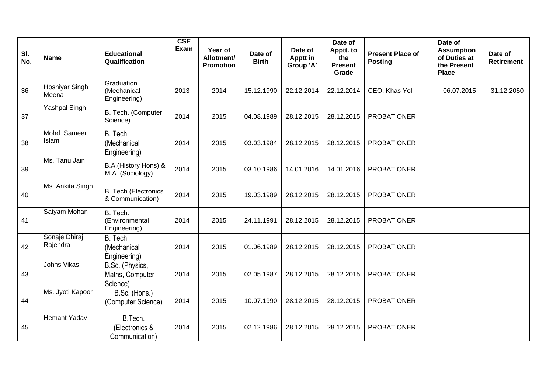| SI.<br>No. | <b>Name</b>               | <b>Educational</b><br>Qualification              | <b>CSE</b><br>Exam | Year of<br>Allotment/<br><b>Promotion</b> | Date of<br><b>Birth</b> | Date of<br>Apptt in<br>Group 'A' | Date of<br>Apptt. to<br>the<br><b>Present</b><br>Grade | <b>Present Place of</b><br><b>Posting</b> | Date of<br><b>Assumption</b><br>of Duties at<br>the Present<br><b>Place</b> | Date of<br><b>Retirement</b> |
|------------|---------------------------|--------------------------------------------------|--------------------|-------------------------------------------|-------------------------|----------------------------------|--------------------------------------------------------|-------------------------------------------|-----------------------------------------------------------------------------|------------------------------|
| 36         | Hoshiyar Singh<br>Meena   | Graduation<br>(Mechanical<br>Engineering)        | 2013               | 2014                                      | 15.12.1990              | 22.12.2014                       | 22.12.2014                                             | CEO, Khas Yol                             | 06.07.2015                                                                  | 31.12.2050                   |
| 37         | <b>Yashpal Singh</b>      | B. Tech. (Computer<br>Science)                   | 2014               | 2015                                      | 04.08.1989              | 28.12.2015                       | 28.12.2015                                             | <b>PROBATIONER</b>                        |                                                                             |                              |
| 38         | Mohd. Sameer<br>Islam     | B. Tech.<br>(Mechanical<br>Engineering)          | 2014               | 2015                                      | 03.03.1984              | 28.12.2015                       | 28.12.2015                                             | <b>PROBATIONER</b>                        |                                                                             |                              |
| 39         | Ms. Tanu Jain             | B.A.(History Hons) &<br>M.A. (Sociology)         | 2014               | 2015                                      | 03.10.1986              | 14.01.2016                       | 14.01.2016                                             | <b>PROBATIONER</b>                        |                                                                             |                              |
| 40         | Ms. Ankita Singh          | <b>B. Tech.</b> (Electronics<br>& Communication) | 2014               | 2015                                      | 19.03.1989              | 28.12.2015                       | 28.12.2015                                             | <b>PROBATIONER</b>                        |                                                                             |                              |
| 41         | Satyam Mohan              | B. Tech.<br>(Environmental<br>Engineering)       | 2014               | 2015                                      | 24.11.1991              | 28.12.2015                       | 28.12.2015                                             | <b>PROBATIONER</b>                        |                                                                             |                              |
| 42         | Sonaje Dhiraj<br>Rajendra | B. Tech.<br>(Mechanical<br>Engineering)          | 2014               | 2015                                      | 01.06.1989              | 28.12.2015                       | 28.12.2015                                             | <b>PROBATIONER</b>                        |                                                                             |                              |
| 43         | Johns Vikas               | B.Sc. (Physics,<br>Maths, Computer<br>Science)   | 2014               | 2015                                      | 02.05.1987              | 28.12.2015                       | 28.12.2015                                             | <b>PROBATIONER</b>                        |                                                                             |                              |
| 44         | Ms. Jyoti Kapoor          | B.Sc. (Hons.)<br>(Computer Science)              | 2014               | 2015                                      | 10.07.1990              | 28.12.2015                       | 28.12.2015                                             | <b>PROBATIONER</b>                        |                                                                             |                              |
| 45         | <b>Hemant Yadav</b>       | B.Tech.<br>(Electronics &<br>Communication)      | 2014               | 2015                                      | 02.12.1986              | 28.12.2015                       | 28.12.2015                                             | <b>PROBATIONER</b>                        |                                                                             |                              |